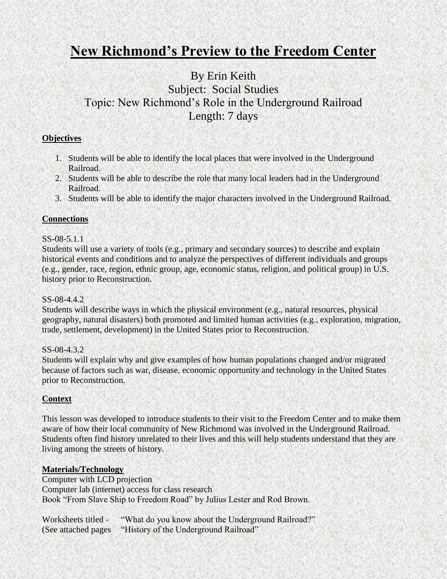# **New Richmond's Preview to the Freedom Center**

## By Erin Keith Subject: Social Studies Topic: New Richmond's Role in the Underground Railroad Length: 7 days

#### **Objectives**

- 1. Students will be able to identify the local places that were involved in the Underground Railroad.
- 2. Students will be able to describe the role that many local leaders had in the Underground Railroad.
- 3. Students will be able to identify the major characters involved in the Underground Railroad.

#### **Connections**

#### SS-08-5.1.1

Students will use a variety of tools (e.g., primary and secondary sources) to describe and explain historical events and conditions and to analyze the perspectives of different individuals and groups (e.g., gender, race, region, ethnic group, age, economic status, religion, and political group) in U.S. history prior to Reconstruction.

#### SS-08-4.4.2.

Students will describe ways in which the physical environment (e.g., natural resources, physical geography, natural disasters) both promoted and limited human activities (e.g., exploration, migration, trade, settlement, development) in the United States prior to Reconstruction.

#### SS-08-4.3.2

Students will explain why and give examples of how human populations changed and/or migrated because of factors such as war, disease, economic opportunity and technology in the United States prior to Reconstruction.

#### **Context**

This lesson was developed to introduce students to their visit to the Freedom Center and to make them aware of how their local community of New Richmond was involved in the Underground Railroad. Students often find history unrelated to their lives and this will help students understand that they are living among the streets of history.

#### **Materials/Technology**

Computer with LCD projection Computer lab (internet) access for class research Book "From Slave Ship to Freedom Road" by Julius Lester and Rod Brown.

Worksheets titled - "What do you know about the Underground Railroad?" (See attached pages "History of the Underground Railroad"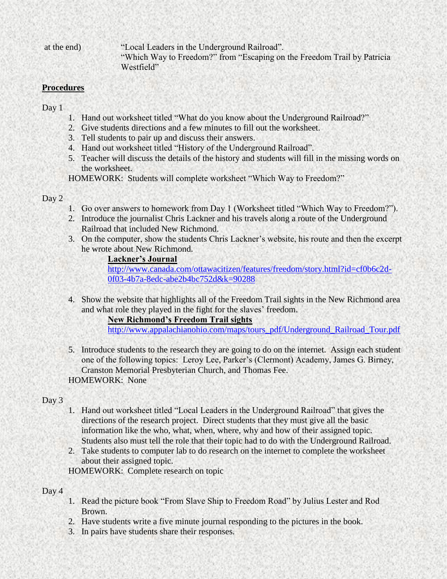at the end) "Local Leaders in the Underground Railroad". "Which Way to Freedom?" from "Escaping on the Freedom Trail by Patricia Westfield"

#### **Procedures**

Day 1

- 1. Hand out worksheet titled "What do you know about the Underground Railroad?"
- 2. Give students directions and a few minutes to fill out the worksheet.
- 3. Tell students to pair up and discuss their answers.
- 4. Hand out worksheet titled "History of the Underground Railroad".
- 5. Teacher will discuss the details of the history and students will fill in the missing words on the worksheet.

HOMEWORK: Students will complete worksheet "Which Way to Freedom?"

#### Day 2

- 1. Go over answers to homework from Day 1 (Worksheet titled "Which Way to Freedom?").
- 2. Introduce the journalist Chris Lackner and his travels along a route of the Underground Railroad that included New Richmond.
- 3. On the computer, show the students Chris Lackner's website, his route and then the excerpt he wrote about New Richmond.

### **Lackner's Journal**

[http://www.canada.com/ottawacitizen/features/freedom/story.html?id=cf0b6c2d-](http://www.canada.com/ottawacitizen/features/freedom/story.html?id=cf0b6c2d-0f03-4b7a-8edc-abe2b4bc752d&k=90288)[0f03-4b7a-8edc-abe2b4bc752d&k=90288](http://www.canada.com/ottawacitizen/features/freedom/story.html?id=cf0b6c2d-0f03-4b7a-8edc-abe2b4bc752d&k=90288)

4. Show the website that highlights all of the Freedom Trail sights in the New Richmond area and what role they played in the fight for the slaves' freedom.

#### **New Richmond's Freedom Trail sights**

[http://www.appalachianohio.com/maps/tours\\_pdf/Underground\\_Railroad\\_Tour.pdf](http://www.appalachianohio.com/maps/tours_pdf/Underground_Railroad_Tour.pdf)

5. Introduce students to the research they are going to do on the internet. Assign each student one of the following topics: Leroy Lee, Parker's (Clermont) Academy, James G. Birney, Cranston Memorial Presbyterian Church, and Thomas Fee. HOMEWORK: None

### Day 3

- 1. Hand out worksheet titled "Local Leaders in the Underground Railroad" that gives the directions of the research project. Direct students that they must give all the basic information like the who, what, when, where, why and how of their assigned topic. Students also must tell the role that their topic had to do with the Underground Railroad.
- 2. Take students to computer lab to do research on the internet to complete the worksheet about their assigned topic.

HOMEWORK: Complete research on topic

#### Day 4

- 1. Read the picture book "From Slave Ship to Freedom Road" by Julius Lester and Rod Brown.
- 2. Have students write a five minute journal responding to the pictures in the book.
- 3. In pairs have students share their responses.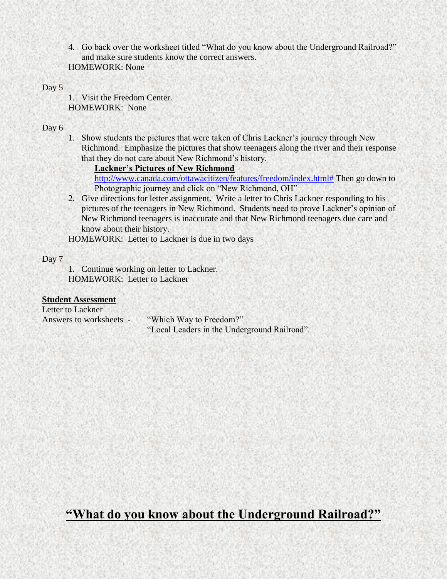4. Go back over the worksheet titled "What do you know about the Underground Railroad?" and make sure students know the correct answers. HOMEWORK: None

#### Day 5

1. Visit the Freedom Center. HOMEWORK: None

#### Day 6

1. Show students the pictures that were taken of Chris Lackner's journey through New Richmond. Emphasize the pictures that show teenagers along the river and their response that they do not care about New Richmond's history.

**Lackner's Pictures of New Richmond**

[http://www.canada.com/ottawacitizen/features/freedom/index.html#](http://www.canada.com/ottawacitizen/features/freedom/index.html) Then go down to Photographic journey and click on "New Richmond, OH"

2. Give directions for letter assignment. Write a letter to Chris Lackner responding to his pictures of the teenagers in New Richmond. Students need to prove Lackner's opinion of New Richmond teenagers is inaccurate and that New Richmond teenagers due care and know about their history.

HOMEWORK: Letter to Lackner is due in two days

#### Day 7

1. Continue working on letter to Lackner. HOMEWORK: Letter to Lackner

#### **Student Assessment**

Letter to Lackner Answers to worksheets - "Which Way to Freedom?" "Local Leaders in the Underground Railroad".

## **"What do you know about the Underground Railroad?"**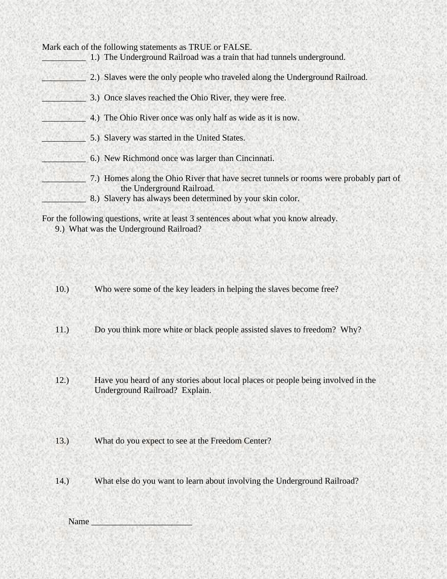Mark each of the following statements as TRUE or FALSE. \_\_\_\_\_\_\_\_\_\_ 1.) The Underground Railroad was a train that had tunnels underground. 2.) Slaves were the only people who traveled along the Underground Railroad. 3.) Once slaves reached the Ohio River, they were free. \_\_\_\_\_\_\_\_\_\_ 4.) The Ohio River once was only half as wide as it is now. \_\_\_\_\_\_\_\_\_\_ 5.) Slavery was started in the United States. \_\_\_\_\_\_\_\_\_\_ 6.) New Richmond once was larger than Cincinnati. \_\_\_\_\_\_\_\_\_\_ 7.) Homes along the Ohio River that have secret tunnels or rooms were probably part of the Underground Railroad. 8.) Slavery has always been determined by your skin color. For the following questions, write at least 3 sentences about what you know already.

9.) What was the Underground Railroad?

- 10.) Who were some of the key leaders in helping the slaves become free?
- 11.) Do you think more white or black people assisted slaves to freedom? Why?
- 
- 12.) Have you heard of any stories about local places or people being involved in the Underground Railroad? Explain.
- 13.) What do you expect to see at the Freedom Center?
- 14.) What else do you want to learn about involving the Underground Railroad?

Name  $\Box$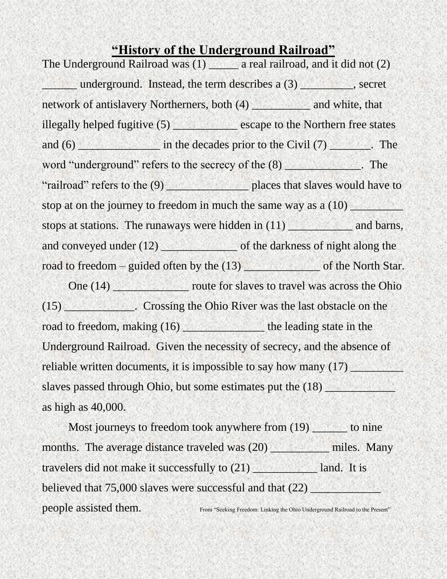## **"History of the Underground Railroad"**

The Underground Railroad was (1) \_\_\_\_\_\_ a real railroad, and it did not (2) \_\_\_\_\_\_ underground. Instead, the term describes a (3) \_\_\_\_\_\_\_\_\_, secret network of antislavery Northerners, both (4) and white, that illegally helped fugitive (5) \_\_\_\_\_\_\_\_\_\_\_\_\_ escape to the Northern free states and (6) \_\_\_\_\_\_\_\_\_\_\_\_\_\_ in the decades prior to the Civil (7) \_\_\_\_\_\_\_. The word "underground" refers to the secrecy of the (8) The "railroad" refers to the (9) \_\_\_\_\_\_\_\_\_\_\_\_\_\_ places that slaves would have to stop at on the journey to freedom in much the same way as a  $(10)$ stops at stations. The runaways were hidden in (11) \_\_\_\_\_\_\_\_\_\_\_\_\_ and barns, and conveyed under (12) of the darkness of night along the road to freedom – guided often by the (13) \_\_\_\_\_\_\_\_\_\_\_\_\_\_ of the North Star. One (14) \_\_\_\_\_\_\_\_\_\_\_\_\_ route for slaves to travel was across the Ohio (15) \_\_\_\_\_\_\_\_\_\_\_\_. Crossing the Ohio River was the last obstacle on the road to freedom, making (16) the leading state in the Underground Railroad. Given the necessity of secrecy, and the absence of reliable written documents, it is impossible to say how many (17) slaves passed through Ohio, but some estimates put the  $(18)$ as high as 40,000.

Most journeys to freedom took anywhere from (19) to nine months. The average distance traveled was (20) \_\_\_\_\_\_\_\_\_\_\_\_ miles. Many travelers did not make it successfully to (21) and. It is believed that 75,000 slaves were successful and that (22) people assisted them. From "Seeking Freedom: Linking the Ohio Underground Railroad to the Present"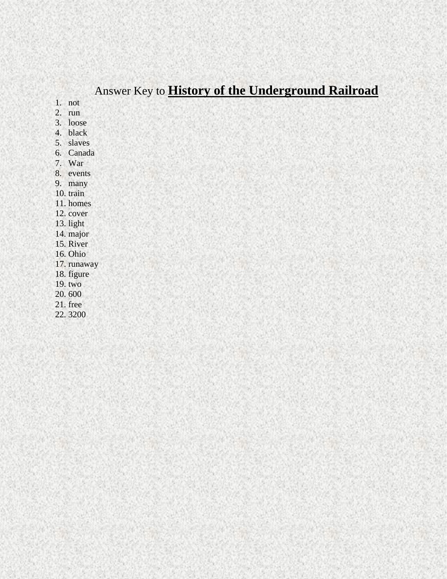# Answer Key to **History of the Underground Railroad**

1. not

 $2.$  run

3. loose

4. black

5. slaves

6. Canada

7. War

8. events

9. many

10. train

11. homes

12. cover

13. light

14. major

15. River

16. Ohio

17. runaway

18. figure

19. two

20.600

 $21.$  free

22.3200